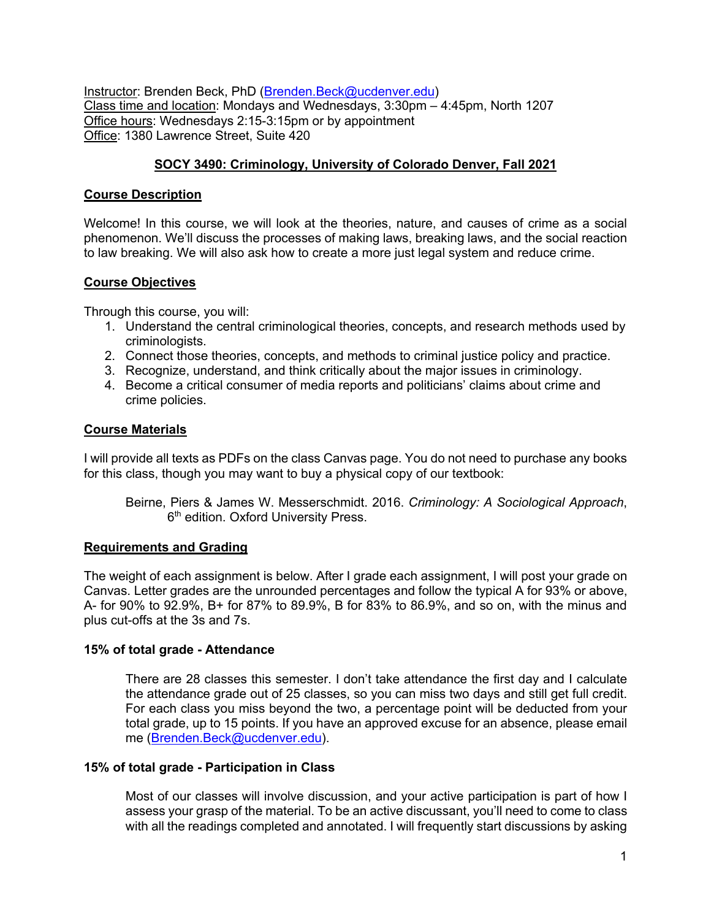Instructor: Brenden Beck, PhD (Brenden.Beck@ucdenver.edu) Class time and location: Mondays and Wednesdays, 3:30pm – 4:45pm, North 1207 Office hours: Wednesdays 2:15-3:15pm or by appointment Office: 1380 Lawrence Street, Suite 420

## **SOCY 3490: Criminology, University of Colorado Denver, Fall 2021**

## **Course Description**

Welcome! In this course, we will look at the theories, nature, and causes of crime as a social phenomenon. We'll discuss the processes of making laws, breaking laws, and the social reaction to law breaking. We will also ask how to create a more just legal system and reduce crime.

## **Course Objectives**

Through this course, you will:

- 1. Understand the central criminological theories, concepts, and research methods used by criminologists.
- 2. Connect those theories, concepts, and methods to criminal justice policy and practice.
- 3. Recognize, understand, and think critically about the major issues in criminology.
- 4. Become a critical consumer of media reports and politicians' claims about crime and crime policies.

### **Course Materials**

I will provide all texts as PDFs on the class Canvas page. You do not need to purchase any books for this class, though you may want to buy a physical copy of our textbook:

Beirne, Piers & James W. Messerschmidt. 2016. *Criminology: A Sociological Approach*, 6<sup>th</sup> edition. Oxford University Press.

## **Requirements and Grading**

The weight of each assignment is below. After I grade each assignment, I will post your grade on Canvas. Letter grades are the unrounded percentages and follow the typical A for 93% or above, A- for 90% to 92.9%, B+ for 87% to 89.9%, B for 83% to 86.9%, and so on, with the minus and plus cut-offs at the 3s and 7s.

#### **15% of total grade - Attendance**

There are 28 classes this semester. I don't take attendance the first day and I calculate the attendance grade out of 25 classes, so you can miss two days and still get full credit. For each class you miss beyond the two, a percentage point will be deducted from your total grade, up to 15 points. If you have an approved excuse for an absence, please email me (Brenden.Beck@ucdenver.edu).

#### **15% of total grade - Participation in Class**

Most of our classes will involve discussion, and your active participation is part of how I assess your grasp of the material. To be an active discussant, you'll need to come to class with all the readings completed and annotated. I will frequently start discussions by asking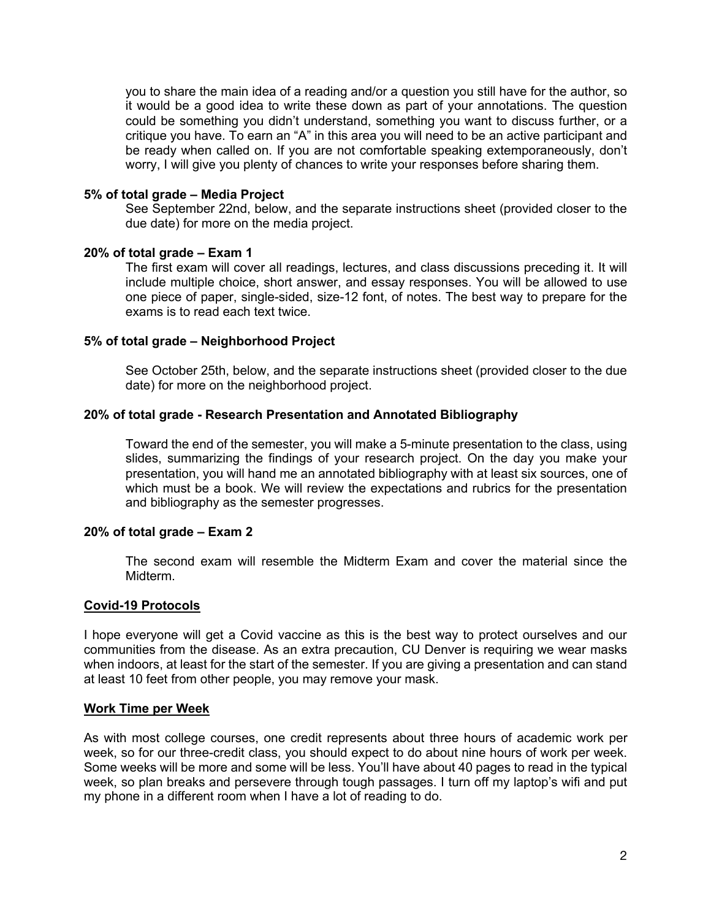you to share the main idea of a reading and/or a question you still have for the author, so it would be a good idea to write these down as part of your annotations. The question could be something you didn't understand, something you want to discuss further, or a critique you have. To earn an "A" in this area you will need to be an active participant and be ready when called on. If you are not comfortable speaking extemporaneously, don't worry, I will give you plenty of chances to write your responses before sharing them.

#### **5% of total grade – Media Project**

See September 22nd, below, and the separate instructions sheet (provided closer to the due date) for more on the media project.

### **20% of total grade – Exam 1**

The first exam will cover all readings, lectures, and class discussions preceding it. It will include multiple choice, short answer, and essay responses. You will be allowed to use one piece of paper, single-sided, size-12 font, of notes. The best way to prepare for the exams is to read each text twice.

#### **5% of total grade – Neighborhood Project**

See October 25th, below, and the separate instructions sheet (provided closer to the due date) for more on the neighborhood project.

### **20% of total grade - Research Presentation and Annotated Bibliography**

Toward the end of the semester, you will make a 5-minute presentation to the class, using slides, summarizing the findings of your research project. On the day you make your presentation, you will hand me an annotated bibliography with at least six sources, one of which must be a book. We will review the expectations and rubrics for the presentation and bibliography as the semester progresses.

#### **20% of total grade – Exam 2**

The second exam will resemble the Midterm Exam and cover the material since the Midterm.

#### **Covid-19 Protocols**

I hope everyone will get a Covid vaccine as this is the best way to protect ourselves and our communities from the disease. As an extra precaution, CU Denver is requiring we wear masks when indoors, at least for the start of the semester. If you are giving a presentation and can stand at least 10 feet from other people, you may remove your mask.

#### **Work Time per Week**

As with most college courses, one credit represents about three hours of academic work per week, so for our three-credit class, you should expect to do about nine hours of work per week. Some weeks will be more and some will be less. You'll have about 40 pages to read in the typical week, so plan breaks and persevere through tough passages. I turn off my laptop's wifi and put my phone in a different room when I have a lot of reading to do.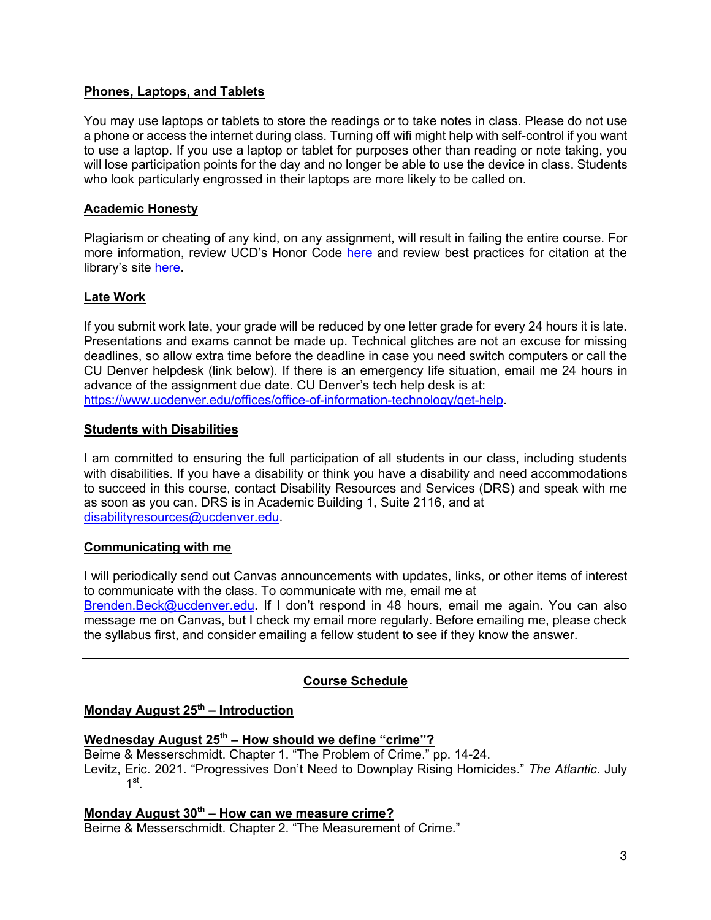## **Phones, Laptops, and Tablets**

You may use laptops or tablets to store the readings or to take notes in class. Please do not use a phone or access the internet during class. Turning off wifi might help with self-control if you want to use a laptop. If you use a laptop or tablet for purposes other than reading or note taking, you will lose participation points for the day and no longer be able to use the device in class. Students who look particularly engrossed in their laptops are more likely to be called on.

## **Academic Honesty**

Plagiarism or cheating of any kind, on any assignment, will result in failing the entire course. For more information, review UCD's Honor Code here and review best practices for citation at the library's site here.

## **Late Work**

If you submit work late, your grade will be reduced by one letter grade for every 24 hours it is late. Presentations and exams cannot be made up. Technical glitches are not an excuse for missing deadlines, so allow extra time before the deadline in case you need switch computers or call the CU Denver helpdesk (link below). If there is an emergency life situation, email me 24 hours in advance of the assignment due date. CU Denver's tech help desk is at: https://www.ucdenver.edu/offices/office-of-information-technology/get-help.

## **Students with Disabilities**

I am committed to ensuring the full participation of all students in our class, including students with disabilities. If you have a disability or think you have a disability and need accommodations to succeed in this course, contact Disability Resources and Services (DRS) and speak with me as soon as you can. DRS is in Academic Building 1, Suite 2116, and at disabilityresources@ucdenver.edu.

## **Communicating with me**

I will periodically send out Canvas announcements with updates, links, or other items of interest to communicate with the class. To communicate with me, email me at

Brenden.Beck@ucdenver.edu. If I don't respond in 48 hours, email me again. You can also message me on Canvas, but I check my email more regularly. Before emailing me, please check the syllabus first, and consider emailing a fellow student to see if they know the answer.

## **Course Schedule**

## **Monday August 25th – Introduction**

## **Wednesday August 25th – How should we define "crime"?**

Beirne & Messerschmidt. Chapter 1. "The Problem of Crime." pp. 14-24. Levitz, Eric. 2021. "Progressives Don't Need to Downplay Rising Homicides." *The Atlantic*. July  $1^{\rm st}$ .

# **Monday August 30th – How can we measure crime?**

Beirne & Messerschmidt. Chapter 2. "The Measurement of Crime."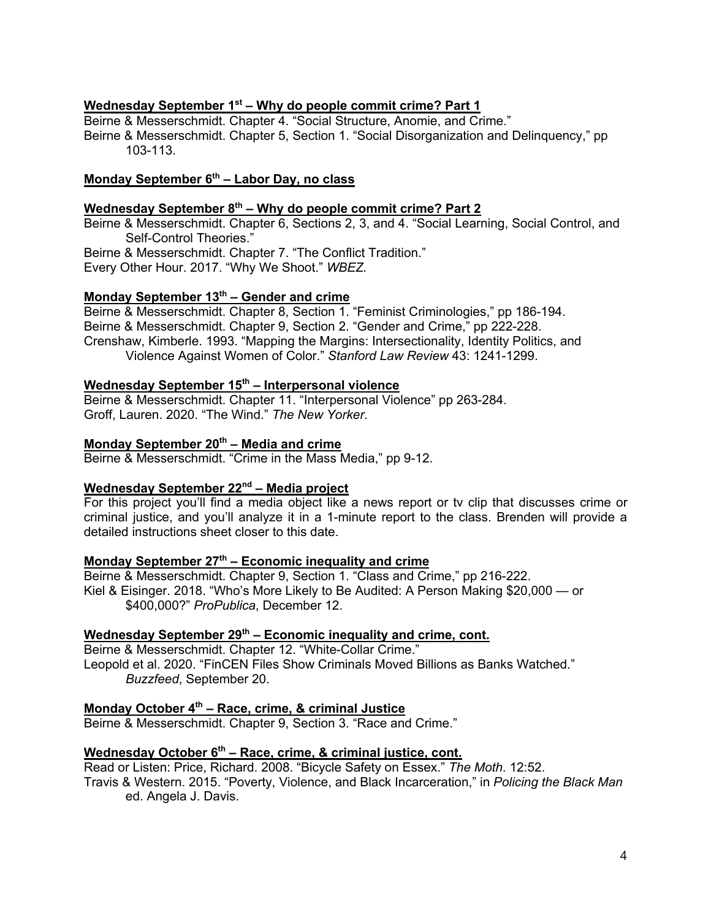#### **Wednesday September 1st – Why do people commit crime? Part 1**

Beirne & Messerschmidt. Chapter 4. "Social Structure, Anomie, and Crime." Beirne & Messerschmidt. Chapter 5, Section 1. "Social Disorganization and Delinquency," pp 103-113.

## **Monday September 6th – Labor Day, no class**

#### **Wednesday September 8th – Why do people commit crime? Part 2**

Beirne & Messerschmidt. Chapter 6, Sections 2, 3, and 4. "Social Learning, Social Control, and Self-Control Theories." Beirne & Messerschmidt. Chapter 7. "The Conflict Tradition."

Every Other Hour. 2017. "Why We Shoot." *WBEZ.*

## **Monday September 13th – Gender and crime**

Beirne & Messerschmidt. Chapter 8, Section 1. "Feminist Criminologies," pp 186-194. Beirne & Messerschmidt. Chapter 9, Section 2. "Gender and Crime," pp 222-228. Crenshaw, Kimberle. 1993. "Mapping the Margins: Intersectionality, Identity Politics, and Violence Against Women of Color." *Stanford Law Review* 43: 1241-1299.

## **Wednesday September 15th – Interpersonal violence**

Beirne & Messerschmidt. Chapter 11. "Interpersonal Violence" pp 263-284. Groff, Lauren. 2020. "The Wind." *The New Yorker*.

### **Monday September 20th – Media and crime**

Beirne & Messerschmidt. "Crime in the Mass Media," pp 9-12.

# **Wednesday September 22nd – Media project**

For this project you'll find a media object like a news report or tv clip that discusses crime or criminal justice, and you'll analyze it in a 1-minute report to the class. Brenden will provide a detailed instructions sheet closer to this date.

#### **Monday September 27th – Economic inequality and crime**

Beirne & Messerschmidt. Chapter 9, Section 1. "Class and Crime," pp 216-222. Kiel & Eisinger. 2018. "Who's More Likely to Be Audited: A Person Making \$20,000 — or \$400,000?" *ProPublica*, December 12.

## Wednesday September 29<sup>th</sup> – Economic inequality and crime, cont.

Beirne & Messerschmidt. Chapter 12. "White-Collar Crime." Leopold et al. 2020. "FinCEN Files Show Criminals Moved Billions as Banks Watched." *Buzzfeed*, September 20.

## **Monday October 4th – Race, crime, & criminal Justice**

Beirne & Messerschmidt. Chapter 9, Section 3. "Race and Crime."

## **Wednesday October 6<sup>th</sup> – Race, crime, & criminal justice, cont.**

Read or Listen: Price, Richard. 2008. "Bicycle Safety on Essex." *The Moth*. 12:52.

Travis & Western. 2015. "Poverty, Violence, and Black Incarceration," in *Policing the Black Man* ed. Angela J. Davis.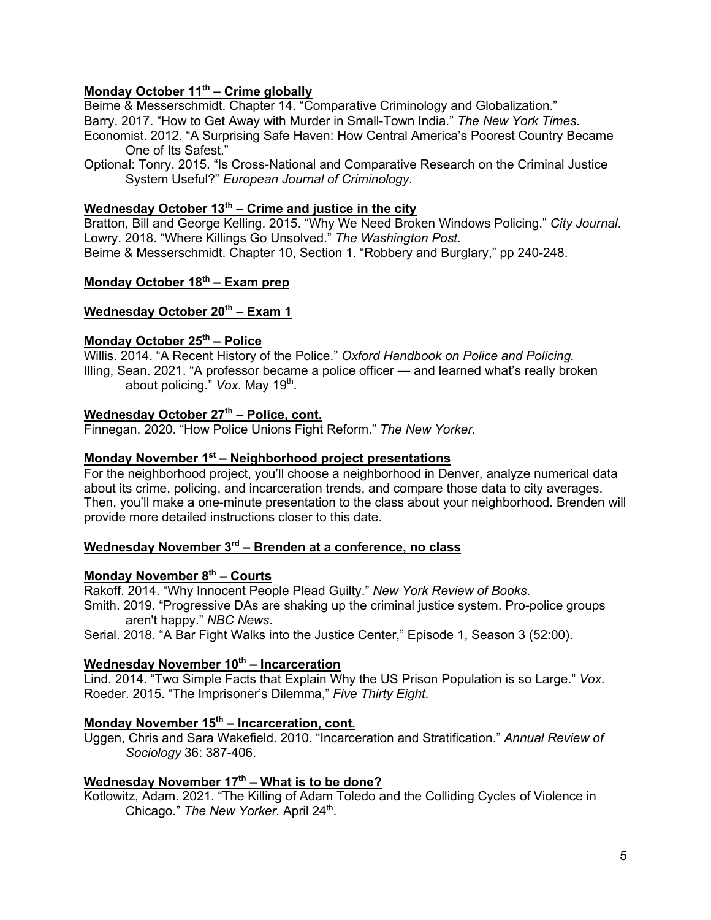## **Monday October 11th – Crime globally**

Beirne & Messerschmidt. Chapter 14. "Comparative Criminology and Globalization." Barry. 2017. "How to Get Away with Murder in Small-Town India." *The New York Times.* Economist. 2012. "A Surprising Safe Haven: How Central America's Poorest Country Became One of Its Safest."

Optional: Tonry. 2015. "Is Cross-National and Comparative Research on the Criminal Justice System Useful?" *European Journal of Criminology*.

#### **Wednesday October 13th – Crime and justice in the city**

Bratton, Bill and George Kelling. 2015. "Why We Need Broken Windows Policing." *City Journal*. Lowry. 2018. "Where Killings Go Unsolved." *The Washington Post*. Beirne & Messerschmidt. Chapter 10, Section 1. "Robbery and Burglary," pp 240-248.

## **Monday October 18th – Exam prep**

## Wednesday October 20<sup>th</sup> – Exam 1

### **Monday October 25th – Police**

Willis. 2014. "A Recent History of the Police." *Oxford Handbook on Police and Policing.* Illing, Sean. 2021. "A professor became a police officer — and learned what's really broken about policing." Vox. May 19<sup>th</sup>.

## **Wednesday October 27th – Police, cont.**

Finnegan. 2020. "How Police Unions Fight Reform." *The New Yorker*.

#### **Monday November 1st – Neighborhood project presentations**

For the neighborhood project, you'll choose a neighborhood in Denver, analyze numerical data about its crime, policing, and incarceration trends, and compare those data to city averages. Then, you'll make a one-minute presentation to the class about your neighborhood. Brenden will provide more detailed instructions closer to this date.

## **Wednesday November 3rd – Brenden at a conference, no class**

# **Monday November 8th – Courts**

Rakoff. 2014. "Why Innocent People Plead Guilty." *New York Review of Books*. Smith. 2019. "Progressive DAs are shaking up the criminal justice system. Pro-police groups aren't happy." *NBC News*.

Serial. 2018. "A Bar Fight Walks into the Justice Center," Episode 1, Season 3 (52:00).

## **Wednesday November 10<sup>th</sup> – Incarceration**

Lind. 2014. "Two Simple Facts that Explain Why the US Prison Population is so Large." *Vox*. Roeder. 2015. "The Imprisoner's Dilemma," *Five Thirty Eight*.

# **Monday November 15th – Incarceration, cont.**

Uggen, Chris and Sara Wakefield. 2010. "Incarceration and Stratification." *Annual Review of Sociology* 36: 387-406.

## **Wednesday November 17th – What is to be done?**

Kotlowitz, Adam. 2021. "The Killing of Adam Toledo and the Colliding Cycles of Violence in Chicago." *The New Yorker*. April 24<sup>th</sup>.